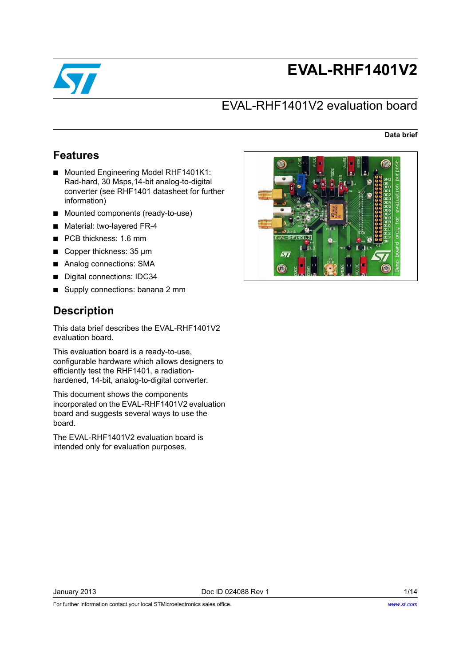

# **EVAL-RHF1401V2**

# EVAL-RHF1401V2 evaluation board

**Data brief**

# **Features**

- Mounted Engineering Model RHF1401K1: Rad-hard, 30 Msps,14-bit analog-to-digital converter (see RHF1401 datasheet for further information)
- Mounted components (ready-to-use)
- Material: two-layered FR-4
- PCB thickness: 1.6 mm
- Copper thickness: 35 μm
- Analog connections: SMA
- Digital connections: IDC34
- Supply connections: banana 2 mm

# **Description**

This data brief describes the EVAL-RHF1401V2 evaluation board.

This evaluation board is a ready-to-use, configurable hardware which allows designers to efficiently test the RHF1401, a radiationhardened, 14-bit, analog-to-digital converter.

This document shows the components incorporated on the EVAL-RHF1401V2 evaluation board and suggests several ways to use the board.

The EVAL-RHF1401V2 evaluation board is intended only for evaluation purposes.



For further information contact your local STMicroelectronics sales office.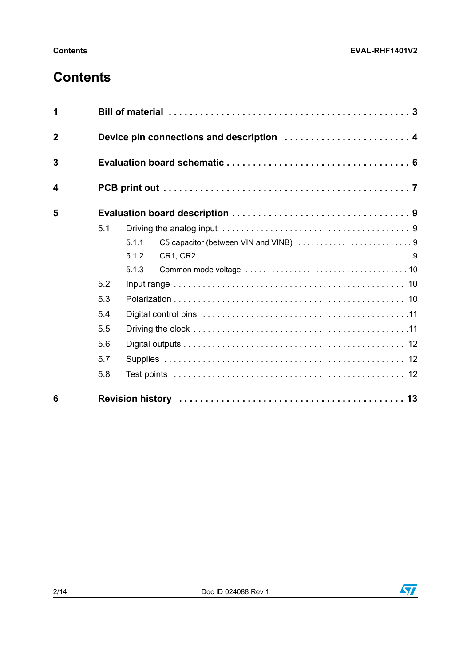# **Contents**

| 1            |     |                                           |  |  |  |  |
|--------------|-----|-------------------------------------------|--|--|--|--|
| $\mathbf{2}$ |     | Device pin connections and description  4 |  |  |  |  |
| 3            |     |                                           |  |  |  |  |
| 4            |     |                                           |  |  |  |  |
| 5            |     |                                           |  |  |  |  |
|              | 5.1 |                                           |  |  |  |  |
|              |     | 5.1.1                                     |  |  |  |  |
|              |     | 5.1.2                                     |  |  |  |  |
|              |     | 5.1.3                                     |  |  |  |  |
|              | 5.2 |                                           |  |  |  |  |
|              | 5.3 |                                           |  |  |  |  |
|              | 5.4 |                                           |  |  |  |  |
|              | 5.5 |                                           |  |  |  |  |
|              | 5.6 |                                           |  |  |  |  |
|              | 5.7 |                                           |  |  |  |  |
|              | 5.8 |                                           |  |  |  |  |
| 6            |     |                                           |  |  |  |  |

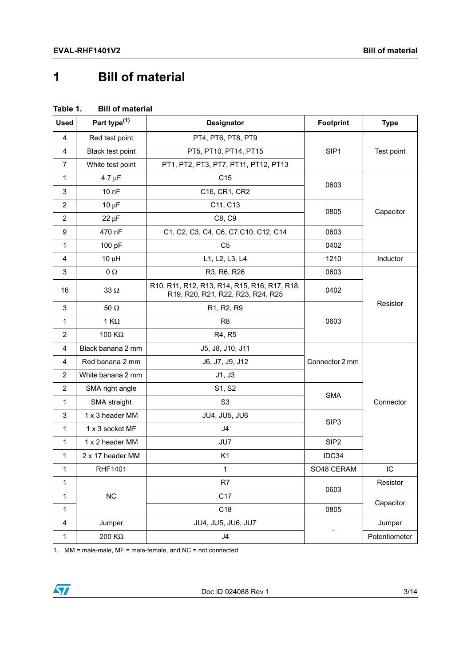# <span id="page-2-0"></span>**1 Bill of material**

| Table 1. |  | <b>Bill of material</b> |
|----------|--|-------------------------|
|----------|--|-------------------------|

| <b>Used</b>             | Part type <sup>(1)</sup> | <b>Designator</b>                                                                 |                  | <b>Type</b>   |
|-------------------------|--------------------------|-----------------------------------------------------------------------------------|------------------|---------------|
| 4                       | Red test point           | PT4, PT6, PT8, PT9                                                                |                  |               |
| 4                       | Black test point         | PT5, PT10, PT14, PT15                                                             | SIP1             | Test point    |
| 7                       | White test point         | PT1, PT2, PT3, PT7, PT11, PT12, PT13                                              |                  |               |
| 1                       | $4.7 \mu F$              | C <sub>15</sub>                                                                   |                  |               |
| 3                       | 10 nF                    | 0603<br>C16, CR1, CR2                                                             |                  |               |
| 2                       | $10 \mu F$               | C11, C13                                                                          | 0805             |               |
| $\overline{\mathbf{c}}$ | $22 \mu F$               | C8, C9                                                                            |                  | Capacitor     |
| 9                       | 470 nF                   | C1, C2, C3, C4, C6, C7, C10, C12, C14                                             | 0603             |               |
| 1                       | 100 pF                   | C <sub>5</sub>                                                                    | 0402             |               |
| 4                       | $10 \mu H$               | L1, L2, L3, L4                                                                    | 1210             | Inductor      |
| 3                       | $0\ \Omega$              | R3, R6, R26                                                                       | 0603             |               |
| 16                      | 33 $\Omega$              | R10, R11, R12, R13, R14, R15, R16, R17, R18,<br>R19, R20, R21, R22, R23, R24, R25 | 0402             |               |
| 3                       | $50\ \Omega$             | R1, R2, R9                                                                        |                  | Resistor      |
| 1                       | 1 K $\Omega$             | R <sub>8</sub>                                                                    | 0603             |               |
| $\overline{2}$          | 100 $K\Omega$            | R4, R5                                                                            |                  |               |
| 4                       | Black banana 2 mm        | J5, J8, J10, J11                                                                  |                  |               |
| 4                       | Red banana 2 mm          | J6, J7, J9, J12                                                                   | Connector 2 mm   |               |
| $\overline{2}$          | White banana 2 mm        | J1, J3                                                                            |                  | Connector     |
| $\overline{2}$          | SMA right angle          | S1, S2                                                                            | <b>SMA</b>       |               |
| 1                       | SMA straight             | S <sub>3</sub>                                                                    |                  |               |
| 3                       | 1 x 3 header MM          | JU4, JU5, JU6                                                                     | SIP <sub>3</sub> |               |
| 1                       | 1 x 3 socket MF          | J4                                                                                |                  |               |
| 1                       | 1 x 2 header MM          | JU7                                                                               | SIP <sub>2</sub> |               |
| 1                       | 2 x 17 header MM         | K <sub>1</sub>                                                                    | IDC34            |               |
| 1                       | <b>RHF1401</b>           | $\mathbf 1$                                                                       | SO48 CERAM       | IC.           |
| 1                       |                          | R7                                                                                | 0603             | Resistor      |
| 1                       | NC                       | C <sub>17</sub>                                                                   |                  | Capacitor     |
| 1                       |                          | C18                                                                               | 0805             |               |
| 4                       | Jumper                   | JU4, JU5, JU6, JU7                                                                |                  | Jumper        |
| $\mathbf{1}$            | 200 K $\Omega$           | J4                                                                                |                  | Potentiometer |

1. MM = male-male, MF = male-female, and NC = not connected

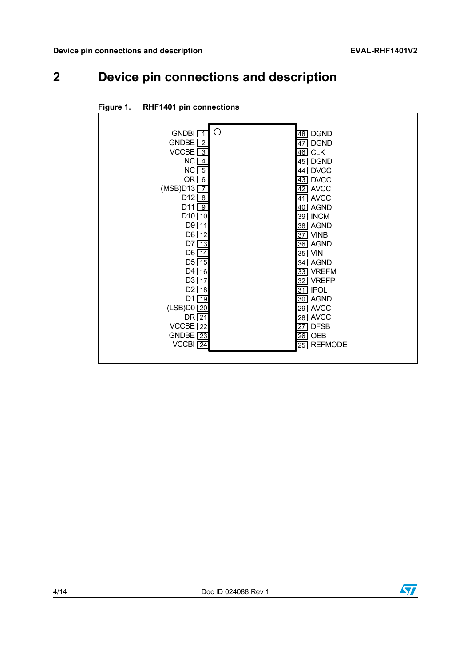# <span id="page-3-0"></span>**2 Device pin connections and description**

| ◯                              |                                   |
|--------------------------------|-----------------------------------|
| <b>GNDBI</b>                   | <b>DGND</b><br>$\overline{48}$    |
| <b>GNDBE</b><br>$\overline{2}$ | <b>DGND</b><br>47                 |
| VCCBE $\sqrt{3}$               | <b>CLK</b><br>$\overline{46}$     |
| NC.<br>$\overline{4}$          | <b>DGND</b><br>45                 |
| NC<br>$-5$                     | <b>DVCC</b><br>44                 |
| OR $\boxed{6}$                 | $\overline{43}$<br><b>DVCC</b>    |
| (MSB)D13<br>$\overline{7}$     | 42 AVCC                           |
| D <sub>12</sub> $\sqrt{8}$     | <b>AVCC</b><br>41                 |
| D11<br>ල                       | <b>AGND</b><br>40                 |
| D10<br>10                      | $\overline{39}$ INCM              |
| D9<br>$\overline{11}$          | <b>AGND</b><br>38                 |
| $D8$ $12$                      | <b>VINB</b><br>37                 |
| D7<br>$\overline{13}$          | $\overline{36}$ AGND              |
| $D6$ $\overline{14}$           | $35$ VIN                          |
| $D5$ $15$                      | <b>AGND</b><br>34                 |
| $D4$ 16                        | <b>VREFM</b><br>33                |
| $D3 \overline{17}$             | <b>VREFP</b><br>32                |
| D <sub>2</sub> 18              | <b>IPOL</b><br>31                 |
| $D1$ 19                        | 30 AGND                           |
| (LSB)D0 20                     | <b>AVCC</b><br>$\overline{29}$    |
| DR 21                          | <b>AVCC</b><br>28                 |
| $VCCBE$ $22$                   | <b>DFSB</b><br>$\overline{27}$    |
| GNDBE $\sqrt{23}$              | <b>OEB</b><br>$\overline{26}$     |
| $VCCH$ $24$                    | <b>REFMODE</b><br>$\overline{25}$ |
|                                |                                   |

#### **Figure 1. RHF1401 pin connections**

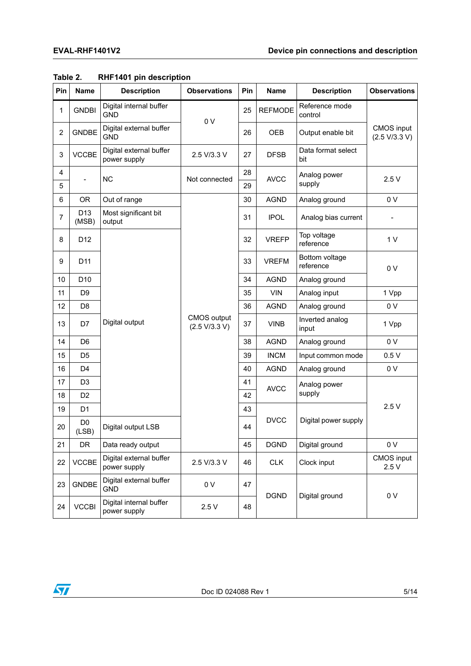| Pin            | <b>Name</b>             | <b>Description</b>                      | <b>Observations</b> | Pin                                 | Name                          | <b>Description</b>          | <b>Observations</b>                |
|----------------|-------------------------|-----------------------------------------|---------------------|-------------------------------------|-------------------------------|-----------------------------|------------------------------------|
| 1              | <b>GNDBI</b>            | Digital internal buffer<br><b>GND</b>   | 0 <sub>V</sub>      |                                     | <b>REFMODE</b>                | Reference mode<br>control   |                                    |
| 2              | <b>GNDBE</b>            | Digital external buffer<br><b>GND</b>   |                     | 26                                  | <b>OEB</b>                    | Output enable bit           | <b>CMOS</b> input<br>(2.5 V/3.3 V) |
| 3              | <b>VCCBE</b>            | Digital external buffer<br>power supply | 2.5 V/3.3 V         | 27                                  | <b>DFSB</b>                   | Data format select<br>bit   |                                    |
| 4<br>5         |                         | <b>NC</b>                               | Not connected       | 28<br>29                            | <b>AVCC</b>                   | Analog power<br>supply      | 2.5V                               |
| 6              | <b>OR</b>               | Out of range                            |                     | 30                                  | <b>AGND</b>                   | Analog ground               | 0 V                                |
| $\overline{7}$ | D13<br>(MSB)            | Most significant bit<br>output          |                     | 31                                  | <b>IPOL</b>                   | Analog bias current         |                                    |
| 8              | D <sub>12</sub>         |                                         |                     | 32                                  | <b>VREFP</b>                  | Top voltage<br>reference    | 1 <sub>V</sub>                     |
| 9              | D <sub>11</sub>         |                                         |                     | 33                                  | <b>VREFM</b>                  | Bottom voltage<br>reference | 0 <sub>V</sub>                     |
| 10             | D <sub>10</sub>         |                                         |                     | 34                                  | <b>AGND</b>                   | Analog ground               |                                    |
| 11             | D <sub>9</sub>          |                                         |                     | 35                                  | <b>VIN</b>                    | Analog input                | 1 Vpp                              |
| 12             | D <sub>8</sub>          |                                         |                     | 36                                  | <b>AGND</b>                   | Analog ground               | 0 V                                |
| 13             | D7                      |                                         | Digital output      | <b>CMOS</b> output<br>(2.5 V/3.3 V) |                               | <b>VINB</b>                 | Inverted analog<br>input           |
| 14             | D <sub>6</sub>          |                                         |                     | 38                                  | <b>AGND</b>                   | Analog ground               | 0 V                                |
| 15             | D <sub>5</sub>          |                                         |                     | 39                                  | <b>INCM</b>                   | Input common mode           | 0.5V                               |
| 16             | D <sub>4</sub>          |                                         |                     | 40                                  | <b>AGND</b>                   | Analog ground               | 0 V                                |
| 17             | D <sub>3</sub>          |                                         |                     | 41                                  | <b>AVCC</b>                   | Analog power<br>supply      | 2.5V                               |
| 18             | D <sub>2</sub>          |                                         |                     | 42                                  |                               |                             |                                    |
| 19             | D <sub>1</sub>          |                                         |                     | 43                                  |                               |                             |                                    |
| 20             | D <sub>0</sub><br>(LSB) | Digital output LSB                      |                     | 44                                  | <b>DVCC</b>                   | Digital power supply        |                                    |
| 21             | DR                      | Data ready output                       |                     |                                     | <b>DGND</b>                   | Digital ground              | 0 <sub>V</sub>                     |
| 22             | <b>VCCBE</b>            | Digital external buffer<br>power supply | 2.5 V/3.3 V         | 46                                  | <b>CLK</b>                    | Clock input                 | <b>CMOS</b> input<br>2.5V          |
| 23             | <b>GNDBE</b>            | Digital external buffer<br><b>GND</b>   | 0 V                 | 47                                  | <b>DGND</b><br>Digital ground |                             | 0V                                 |
| 24             | <b>VCCBI</b>            | Digital internal buffer<br>power supply | 2.5V                | 48                                  |                               |                             |                                    |

#### **Table 2. RHF1401 pin description**

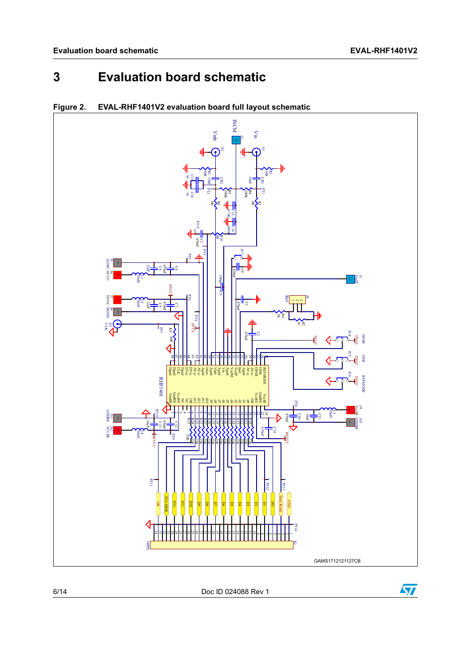# <span id="page-5-0"></span>**3 Evaluation board schematic**



### **Figure 2. EVAL-RHF1401V2 evaluation board full layout schematic**

6/14 Doc ID 024088 Rev 1

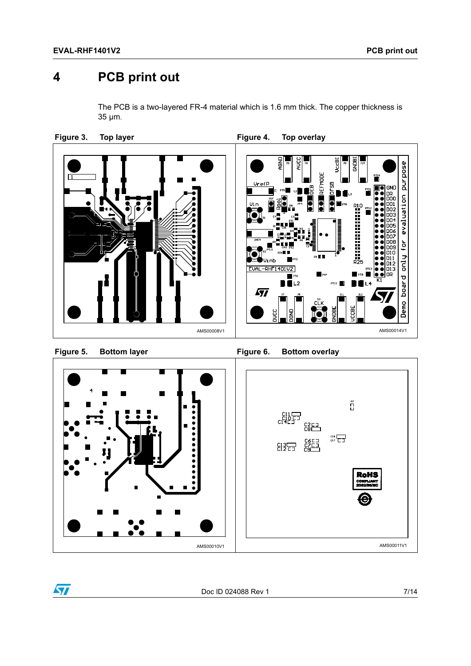# <span id="page-6-0"></span>**4 PCB print out**

The PCB is a two-layered FR-4 material which is 1.6 mm thick. The copper thickness is 35 μm.



**Bottom layer** 

Figure 5. Bottom layer **Figure 6. Bottom overlay** 



 $\sqrt{2}$ 

Doc ID 024088 Rev 1 7/14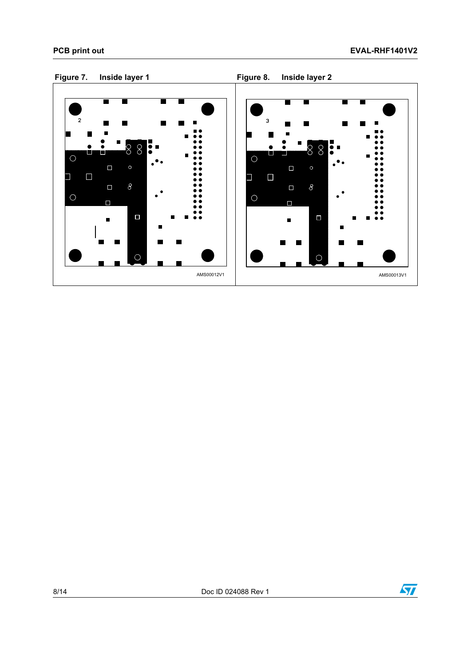



8/14 Doc ID 024088 Rev 1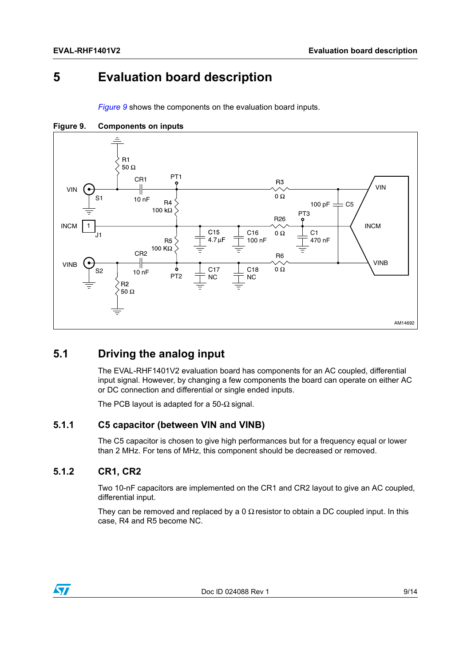# <span id="page-8-0"></span>**5 Evaluation board description**

*[Figure](#page-8-4) 9* shows the components on the evaluation board inputs.



<span id="page-8-4"></span>**Figure 9. Components on inputs**

## <span id="page-8-1"></span>**5.1 Driving the analog input**

The EVAL-RHF1401V2 evaluation board has components for an AC coupled, differential input signal. However, by changing a few components the board can operate on either AC or DC connection and differential or single ended inputs.

The PCB layout is adapted for a 50- $\Omega$  signal.

#### <span id="page-8-2"></span>**5.1.1 C5 capacitor (between VIN and VINB)**

The C5 capacitor is chosen to give high performances but for a frequency equal or lower than 2 MHz. For tens of MHz, this component should be decreased or removed.

### <span id="page-8-3"></span>**5.1.2 CR1, CR2**

Two 10-nF capacitors are implemented on the CR1 and CR2 layout to give an AC coupled, differential input.

They can be removed and replaced by a 0  $\Omega$  resistor to obtain a DC coupled input. In this case, R4 and R5 become NC.

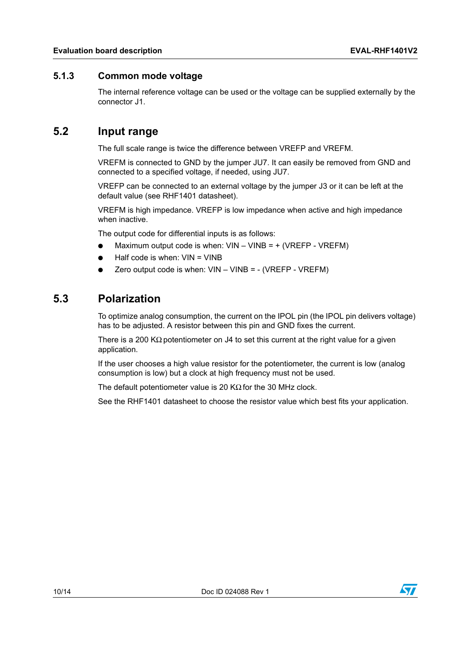### <span id="page-9-0"></span>**5.1.3 Common mode voltage**

The internal reference voltage can be used or the voltage can be supplied externally by the connector J1.

### <span id="page-9-1"></span>**5.2 Input range**

The full scale range is twice the difference between VREFP and VREFM.

VREFM is connected to GND by the jumper JU7. It can easily be removed from GND and connected to a specified voltage, if needed, using JU7.

VREFP can be connected to an external voltage by the jumper J3 or it can be left at the default value (see RHF1401 datasheet).

VREFM is high impedance. VREFP is low impedance when active and high impedance when inactive.

The output code for differential inputs is as follows:

- Maximum output code is when:  $VIN VINB = + (VREFP VREFM)$
- Half code is when:  $VIN = VINB$
- Zero output code is when:  $VIN VINB = (VREFP VREFM)$

### <span id="page-9-2"></span>**5.3 Polarization**

To optimize analog consumption, the current on the IPOL pin (the IPOL pin delivers voltage) has to be adjusted. A resistor between this pin and GND fixes the current.

There is a 200 KΩ potentiometer on J4 to set this current at the right value for a given application.

If the user chooses a high value resistor for the potentiometer, the current is low (analog consumption is low) but a clock at high frequency must not be used.

The default potentiometer value is 20 KΩ for the 30 MHz clock.

See the RHF1401 datasheet to choose the resistor value which best fits your application.

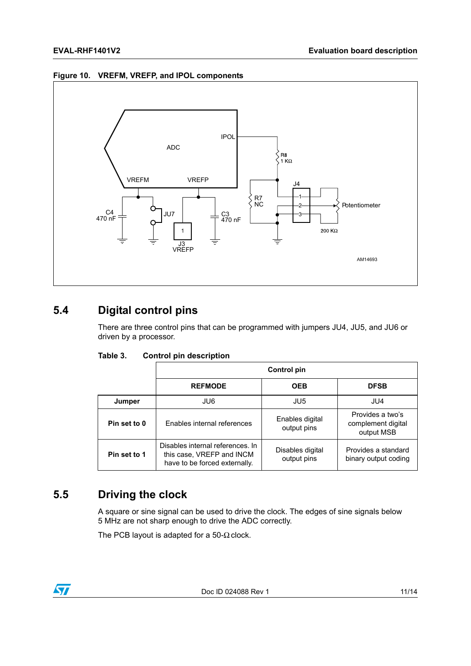#### **Figure 10. VREFM, VREFP, and IPOL components**



## <span id="page-10-0"></span>**5.4 Digital control pins**

There are three control pins that can be programmed with jumpers JU4, JU5, and JU6 or driven by a processor.

| Table 3. |  | <b>Control pin description</b> |
|----------|--|--------------------------------|
|          |  |                                |

|                                                                                                                | Control pin                 |                                 |                                                      |
|----------------------------------------------------------------------------------------------------------------|-----------------------------|---------------------------------|------------------------------------------------------|
|                                                                                                                | <b>REFMODE</b>              | <b>OEB</b>                      | <b>DFSB</b>                                          |
| Jumper                                                                                                         | JU6                         | JU5                             | JU4                                                  |
| Pin set to 0                                                                                                   | Enables internal references | Enables digital<br>output pins  | Provides a two's<br>complement digital<br>output MSB |
| Disables internal references. In<br>this case, VREFP and INCM<br>Pin set to 1<br>have to be forced externally. |                             | Disables digital<br>output pins | Provides a standard<br>binary output coding          |

## <span id="page-10-1"></span>**5.5 Driving the clock**

A square or sine signal can be used to drive the clock. The edges of sine signals below 5 MHz are not sharp enough to drive the ADC correctly.

The PCB layout is adapted for a 50- $\Omega$  clock.

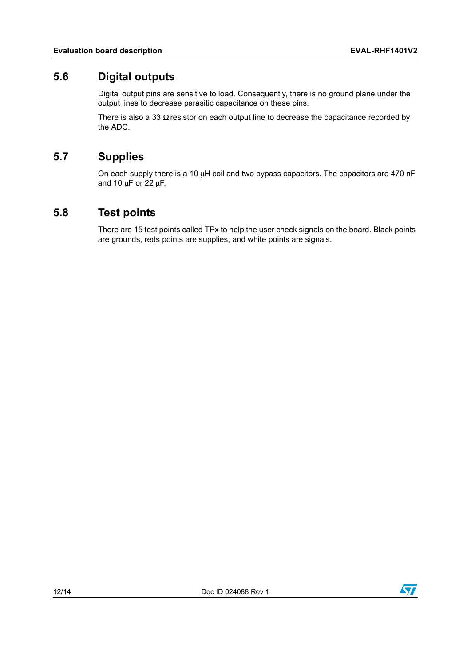### <span id="page-11-0"></span>**5.6 Digital outputs**

Digital output pins are sensitive to load. Consequently, there is no ground plane under the output lines to decrease parasitic capacitance on these pins.

There is also a 33  $\Omega$  resistor on each output line to decrease the capacitance recorded by the ADC.

## <span id="page-11-1"></span>**5.7 Supplies**

On each supply there is a 10 μH coil and two bypass capacitors. The capacitors are 470 nF and 10 μF or 22 μF.

### <span id="page-11-2"></span>**5.8 Test points**

There are 15 test points called TPx to help the user check signals on the board. Black points are grounds, reds points are supplies, and white points are signals.

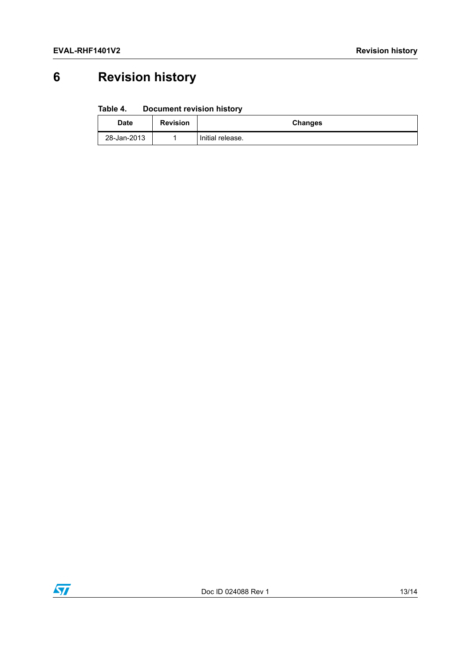# <span id="page-12-0"></span>**6 Revision history**

#### Table 4. **Document revision history**

| <b>Date</b> | <b>Revision</b> | Changes          |
|-------------|-----------------|------------------|
| 28-Jan-2013 |                 | Initial release. |